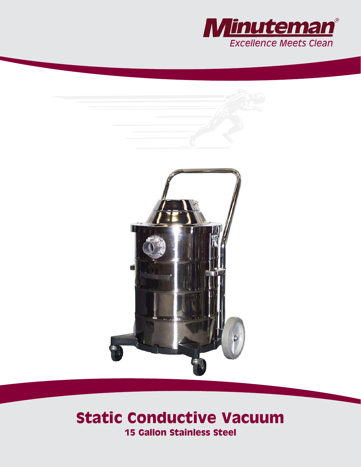



# **Static Conductive Vacuum 15 Gallon Stainless Steel**